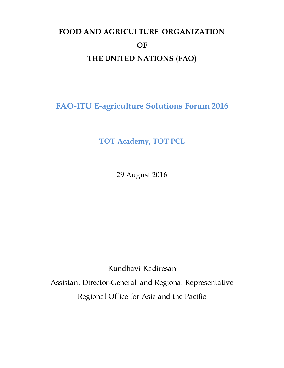## **FOOD AND AGRICULTURE ORGANIZATION OF THE UNITED NATIONS (FAO)**

**FAO-ITU E-agriculture Solutions Forum 2016**

**TOT Academy, TOT PCL**

29 August 2016

Kundhavi Kadiresan

Assistant Director-General and Regional Representative Regional Office for Asia and the Pacific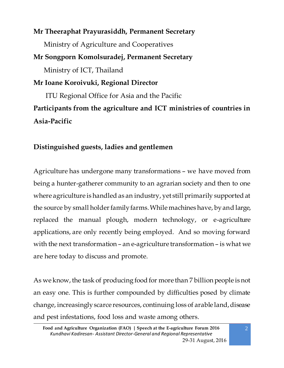## **Mr Theeraphat Prayurasiddh, Permanent Secretary**  Ministry of Agriculture and Cooperatives **Mr Songporn Komolsuradej, Permanent Secretary**  Ministry of ICT, Thailand **Mr Ioane Koroivuki, Regional Director** ITU Regional Office for Asia and the Pacific **Participants from the agriculture and ICT ministries of countries in Asia-Pacific**

## **Distinguished guests, ladies and gentlemen**

Agriculture has undergone many transformations – we have moved from being a hunter-gatherer community to an agrarian society and then to one where agriculture is handled as an industry, yet still primarily supported at the source by small holder family farms. While machines have, by and large, replaced the manual plough, modern technology, or e-agriculture applications, are only recently being employed. And so moving forward with the next transformation – an e-agriculture transformation – is what we are here today to discuss and promote.

As we know, the task of producing food for more than 7 billion people is not an easy one. This is further compounded by difficulties posed by climate change, increasingly scarce resources, continuing loss of arable land, disease and pest infestations, food loss and waste among others.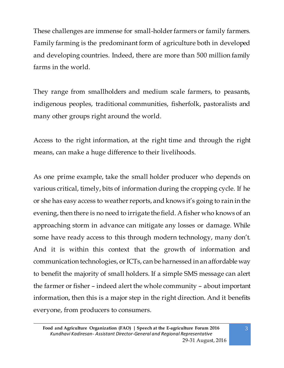These challenges are immense for small-holder farmers or family farmers. Family farming is the predominant form of agriculture both in developed and developing countries. Indeed, there are more than 500 million family farms in the world.

They range from smallholders and medium scale farmers, to peasants, indigenous peoples, traditional communities, fisherfolk, pastoralists and many other groups right around the world.

Access to the right information, at the right time and through the right means, can make a huge difference to their livelihoods.

As one prime example, take the small holder producer who depends on various critical, timely, bits of information during the cropping cycle. If he or she has easy access to weather reports, and knows it's going to rain in the evening, then there is no need to irrigate the field. A fisher who knows of an approaching storm in advance can mitigate any losses or damage. While some have ready access to this through modern technology, many don't. And it is within this context that the growth of information and communication technologies, or ICTs, can be harnessed in an affordable way to benefit the majority of small holders. If a simple SMS message can alert the farmer or fisher – indeed alert the whole community – about important information, then this is a major step in the right direction. And it benefits everyone, from producers to consumers.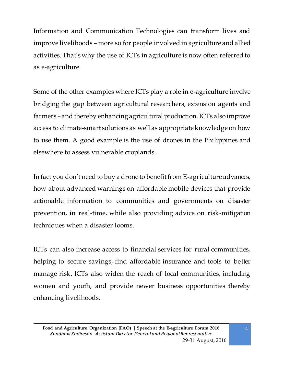Information and Communication Technologies can transform lives and improve livelihoods – more so for people involved in agriculture and allied activities. That's why the use of ICTs in agriculture is now often referred to as e-agriculture.

Some of the other examples where ICTs play a role in e-agriculture involve bridging the gap between agricultural researchers, extension agents and farmers – and thereby enhancing agricultural production. ICTs also improve access to climate-smart solutions as well as appropriate knowledge on how to use them. A good example is the use of drones in the Philippines and elsewhere to assess vulnerable croplands.

In fact you don't need to buy a drone to benefit from E-agriculture advances, how about advanced warnings on affordable mobile devices that provide actionable information to communities and governments on disaster prevention, in real-time, while also providing advice on risk-mitigation techniques when a disaster looms.

ICTs can also increase access to financial services for rural communities, helping to secure savings, find affordable insurance and tools to better manage risk. ICTs also widen the reach of local communities, including women and youth, and provide newer business opportunities thereby enhancing livelihoods.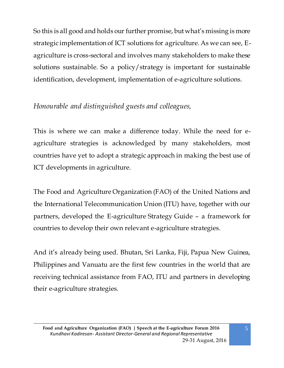So this is all good and holds our further promise, but what's missing is more strategic implementation of ICT solutions for agriculture. As we can see, Eagriculture is cross-sectoral and involves many stakeholders to make these solutions sustainable. So a policy/strategy is important for sustainable identification, development, implementation of e-agriculture solutions.

## *Honourable and distinguished guests and colleagues,*

This is where we can make a difference today. While the need for eagriculture strategies is acknowledged by many stakeholders, most countries have yet to adopt a strategic approach in making the best use of ICT developments in agriculture.

The Food and Agriculture Organization (FAO) of the United Nations and the International Telecommunication Union (ITU) have, together with our partners, developed the E-agriculture Strategy Guide – a framework for countries to develop their own relevant e-agriculture strategies.

And it's already being used. Bhutan, Sri Lanka, Fiji, Papua New Guinea, Philippines and Vanuatu are the first few countries in the world that are receiving technical assistance from FAO, ITU and partners in developing their e-agriculture strategies.